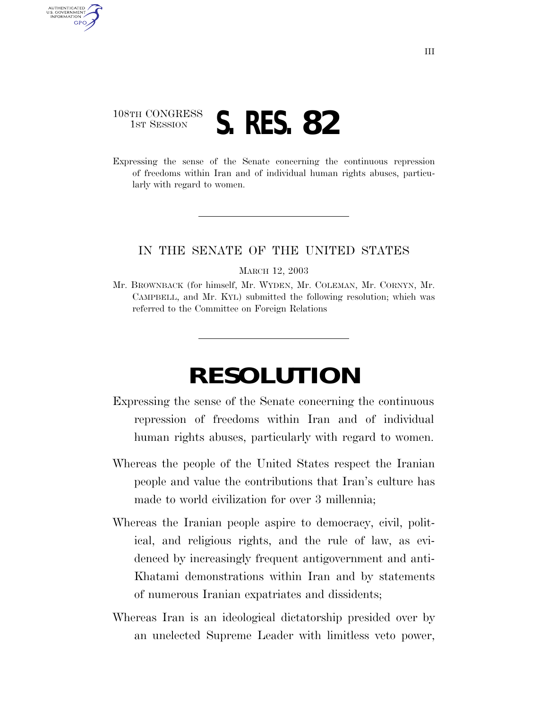## 108TH CONGRESS **1ST SESSION S. RES. 82**

AUTHENTICATED U.S. GOVERNMENT GPO

> Expressing the sense of the Senate concerning the continuous repression of freedoms within Iran and of individual human rights abuses, particularly with regard to women.

## IN THE SENATE OF THE UNITED STATES

MARCH 12, 2003

Mr. BROWNBACK (for himself, Mr. WYDEN, Mr. COLEMAN, Mr. CORNYN, Mr. CAMPBELL, and Mr. KYL) submitted the following resolution; which was referred to the Committee on Foreign Relations

## **RESOLUTION**

- Expressing the sense of the Senate concerning the continuous repression of freedoms within Iran and of individual human rights abuses, particularly with regard to women.
- Whereas the people of the United States respect the Iranian people and value the contributions that Iran's culture has made to world civilization for over 3 millennia;
- Whereas the Iranian people aspire to democracy, civil, political, and religious rights, and the rule of law, as evidenced by increasingly frequent antigovernment and anti-Khatami demonstrations within Iran and by statements of numerous Iranian expatriates and dissidents;
- Whereas Iran is an ideological dictatorship presided over by an unelected Supreme Leader with limitless veto power,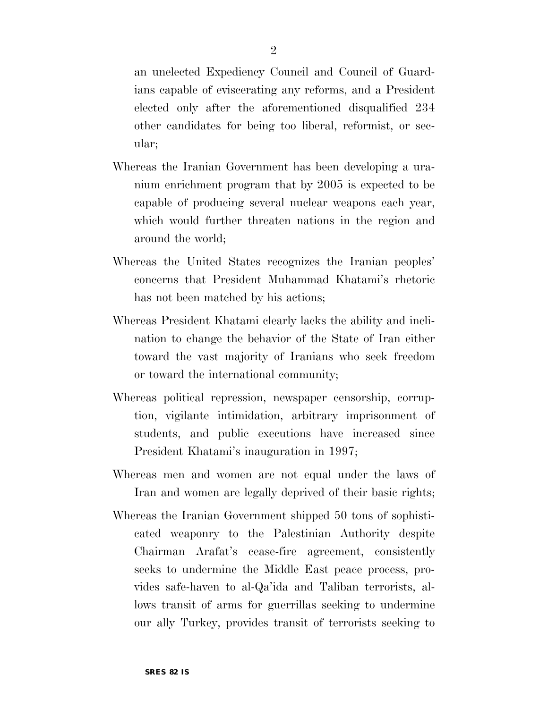an unelected Expediency Council and Council of Guardians capable of eviscerating any reforms, and a President elected only after the aforementioned disqualified 234 other candidates for being too liberal, reformist, or secular;

- Whereas the Iranian Government has been developing a uranium enrichment program that by 2005 is expected to be capable of producing several nuclear weapons each year, which would further threaten nations in the region and around the world;
- Whereas the United States recognizes the Iranian peoples' concerns that President Muhammad Khatami's rhetoric has not been matched by his actions;
- Whereas President Khatami clearly lacks the ability and inclination to change the behavior of the State of Iran either toward the vast majority of Iranians who seek freedom or toward the international community;
- Whereas political repression, newspaper censorship, corruption, vigilante intimidation, arbitrary imprisonment of students, and public executions have increased since President Khatami's inauguration in 1997;
- Whereas men and women are not equal under the laws of Iran and women are legally deprived of their basic rights;
- Whereas the Iranian Government shipped 50 tons of sophisticated weaponry to the Palestinian Authority despite Chairman Arafat's cease-fire agreement, consistently seeks to undermine the Middle East peace process, provides safe-haven to al-Qa'ida and Taliban terrorists, allows transit of arms for guerrillas seeking to undermine our ally Turkey, provides transit of terrorists seeking to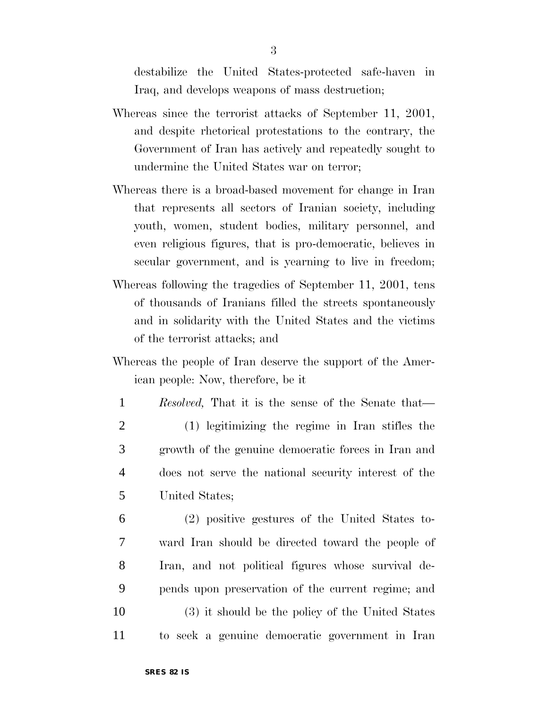destabilize the United States-protected safe-haven in Iraq, and develops weapons of mass destruction;

- Whereas since the terrorist attacks of September 11, 2001, and despite rhetorical protestations to the contrary, the Government of Iran has actively and repeatedly sought to undermine the United States war on terror;
- Whereas there is a broad-based movement for change in Iran that represents all sectors of Iranian society, including youth, women, student bodies, military personnel, and even religious figures, that is pro-democratic, believes in secular government, and is yearning to live in freedom;
- Whereas following the tragedies of September 11, 2001, tens of thousands of Iranians filled the streets spontaneously and in solidarity with the United States and the victims of the terrorist attacks; and
- Whereas the people of Iran deserve the support of the American people: Now, therefore, be it
- 1 *Resolved,* That it is the sense of the Senate that— 2 (1) legitimizing the regime in Iran stifles the 3 growth of the genuine democratic forces in Iran and 4 does not serve the national security interest of the 5 United States;
- 6 (2) positive gestures of the United States to-7 ward Iran should be directed toward the people of 8 Iran, and not political figures whose survival de-9 pends upon preservation of the current regime; and 10 (3) it should be the policy of the United States 11 to seek a genuine democratic government in Iran